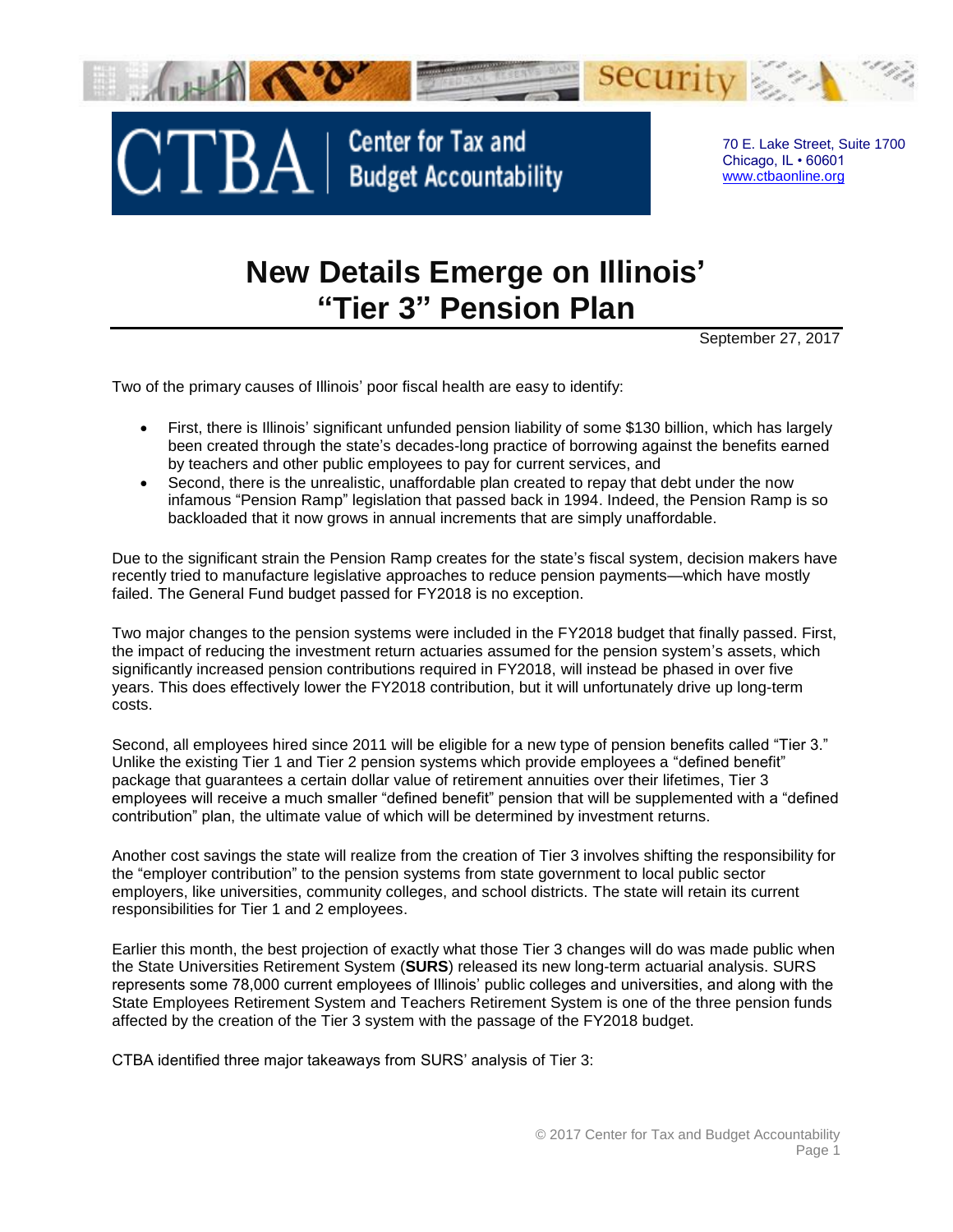

## **New Details Emerge on Illinois' "Tier 3" Pension Plan**

September 27, 2017

Two of the primary causes of Illinois' poor fiscal health are easy to identify:

- First, there is Illinois' significant unfunded pension liability of some \$130 billion, which has largely been created through the state's decades-long practice of borrowing against the benefits earned by teachers and other public employees to pay for current services, and
- Second, there is the unrealistic, unaffordable plan created to repay that debt under the now infamous "Pension Ramp" legislation that passed back in 1994. Indeed, the Pension Ramp is so backloaded that it now grows in annual increments that are simply unaffordable.

Due to the significant strain the Pension Ramp creates for the state's fiscal system, decision makers have recently tried to manufacture legislative approaches to reduce pension payments—which have mostly failed. The General Fund budget passed for FY2018 is no exception.

Two major changes to the pension systems were included in the FY2018 budget that finally passed. First, the impact of reducing the investment return actuaries assumed for the pension system's assets, which significantly increased pension contributions required in FY2018, will instead be phased in over five years. This does effectively lower the FY2018 contribution, but it will unfortunately drive up long-term costs.

Second, all employees hired since 2011 will be eligible for a new type of pension benefits called "Tier 3." Unlike the existing Tier 1 and Tier 2 pension systems which provide employees a "defined benefit" package that guarantees a certain dollar value of retirement annuities over their lifetimes, Tier 3 employees will receive a much smaller "defined benefit" pension that will be supplemented with a "defined contribution" plan, the ultimate value of which will be determined by investment returns.

Another cost savings the state will realize from the creation of Tier 3 involves shifting the responsibility for the "employer contribution" to the pension systems from state government to local public sector employers, like universities, community colleges, and school districts. The state will retain its current responsibilities for Tier 1 and 2 employees.

Earlier this month, the best projection of exactly what those Tier 3 changes will do was made public when the State Universities Retirement System (**SURS**) released its new long-term actuarial analysis. SURS represents some 78,000 current employees of Illinois' public colleges and universities, and along with the State Employees Retirement System and Teachers Retirement System is one of the three pension funds affected by the creation of the Tier 3 system with the passage of the FY2018 budget.

CTBA identified three major takeaways from SURS' analysis of Tier 3: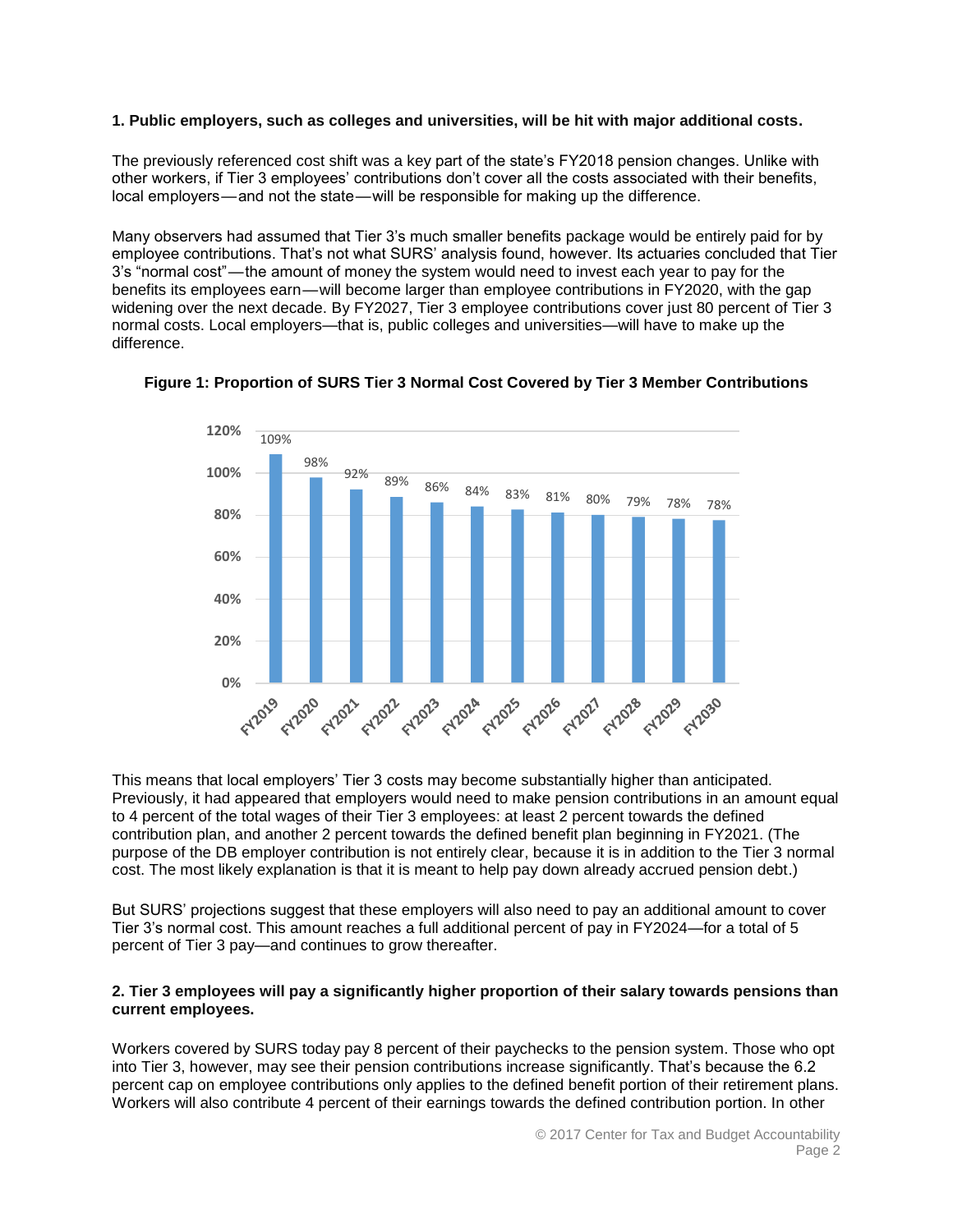## **1. Public employers, such as colleges and universities, will be hit with major additional costs.**

The previously referenced cost shift was a key part of the state's FY2018 pension changes. Unlike with other workers, if Tier 3 employees' contributions don't cover all the costs associated with their benefits, local employers—and not the state—will be responsible for making up the difference.

Many observers had assumed that Tier 3's much smaller benefits package would be entirely paid for by employee contributions. That's not what SURS' analysis found, however. Its actuaries concluded that Tier 3's "normal cost" — the amount of money the system would need to invest each year to pay for the benefits its employees earn—will become larger than employee contributions in FY2020, with the gap widening over the next decade. By FY2027, Tier 3 employee contributions cover just 80 percent of Tier 3 normal costs. Local employers—that is, public colleges and universities—will have to make up the difference.





This means that local employers' Tier 3 costs may become substantially higher than anticipated. Previously, it had appeared that employers would need to make pension contributions in an amount equal to 4 percent of the total wages of their Tier 3 employees: at least 2 percent towards the defined contribution plan, and another 2 percent towards the defined benefit plan beginning in FY2021. (The purpose of the DB employer contribution is not entirely clear, because it is in addition to the Tier 3 normal cost. The most likely explanation is that it is meant to help pay down already accrued pension debt.)

But SURS' projections suggest that these employers will also need to pay an additional amount to cover Tier 3's normal cost. This amount reaches a full additional percent of pay in FY2024—for a total of 5 percent of Tier 3 pay—and continues to grow thereafter.

## **2. Tier 3 employees will pay a significantly higher proportion of their salary towards pensions than current employees.**

Workers covered by SURS today pay 8 percent of their paychecks to the pension system. Those who opt into Tier 3, however, may see their pension contributions increase significantly. That's because the 6.2 percent cap on employee contributions only applies to the defined benefit portion of their retirement plans. Workers will also contribute 4 percent of their earnings towards the defined contribution portion. In other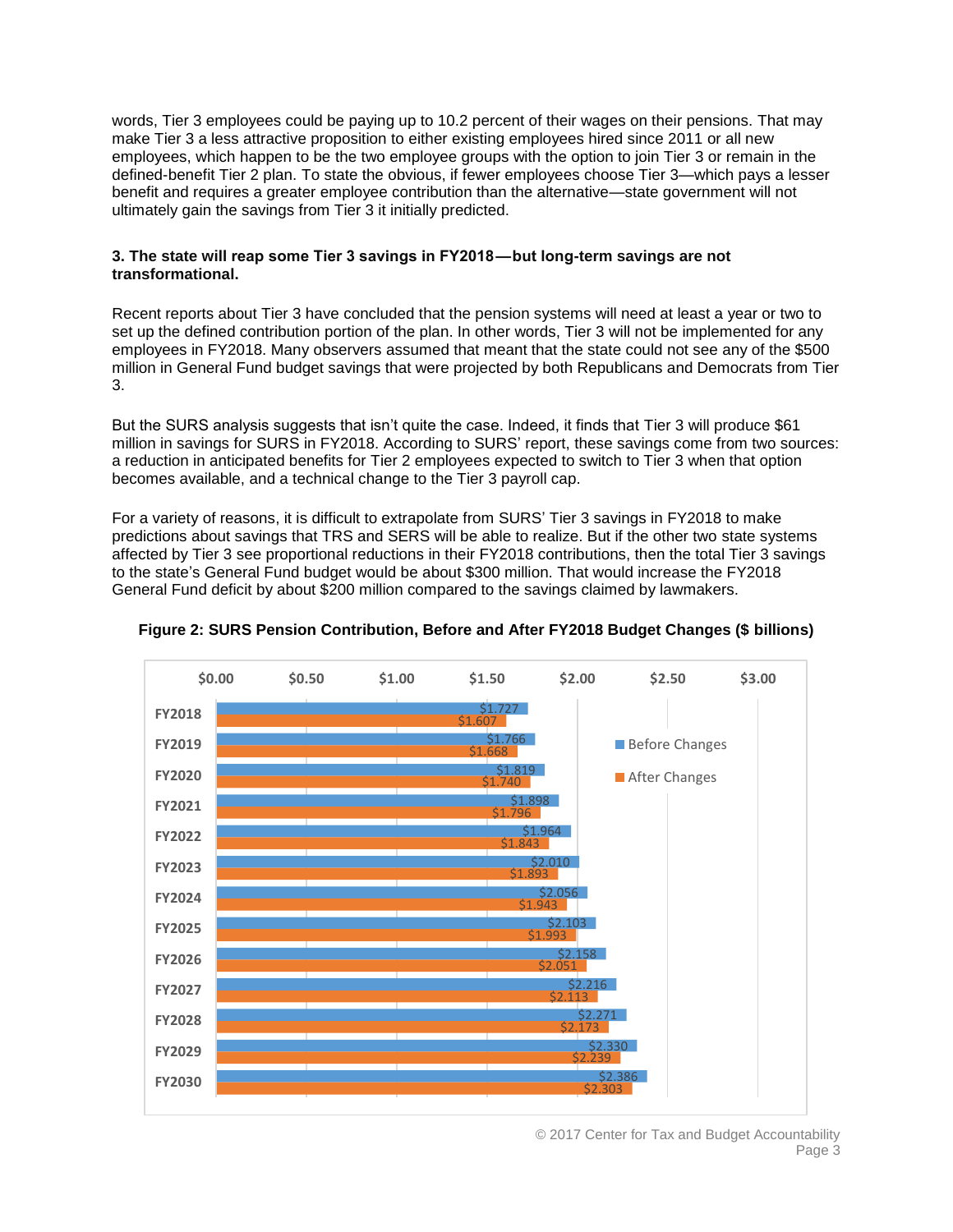words, Tier 3 employees could be paying up to 10.2 percent of their wages on their pensions. That may make Tier 3 a less attractive proposition to either existing employees hired since 2011 or all new employees, which happen to be the two employee groups with the option to join Tier 3 or remain in the defined-benefit Tier 2 plan. To state the obvious, if fewer employees choose Tier 3—which pays a lesser benefit and requires a greater employee contribution than the alternative—state government will not ultimately gain the savings from Tier 3 it initially predicted.

## **3. The state will reap some Tier 3 savings in FY2018 — but long-term savings are not transformational.**

Recent reports about Tier 3 have concluded that the pension systems will need at least a year or two to set up the defined contribution portion of the plan. In other words, Tier 3 will not be implemented for any employees in FY2018. Many observers assumed that meant that the state could not see any of the \$500 million in General Fund budget savings that were projected by both Republicans and Democrats from Tier 3.

But the SURS analysis suggests that isn't quite the case. Indeed, it finds that Tier 3 will produce \$61 million in savings for SURS in FY2018. According to SURS' report, these savings come from two sources: a reduction in anticipated benefits for Tier 2 employees expected to switch to Tier 3 when that option becomes available, and a technical change to the Tier 3 payroll cap.

For a variety of reasons, it is difficult to extrapolate from SURS' Tier 3 savings in FY2018 to make predictions about savings that TRS and SERS will be able to realize. But if the other two state systems affected by Tier 3 see proportional reductions in their FY2018 contributions, then the total Tier 3 savings to the state's General Fund budget would be about \$300 million. That would increase the FY2018 General Fund deficit by about \$200 million compared to the savings claimed by lawmakers.



**Figure 2: SURS Pension Contribution, Before and After FY2018 Budget Changes (\$ billions)**